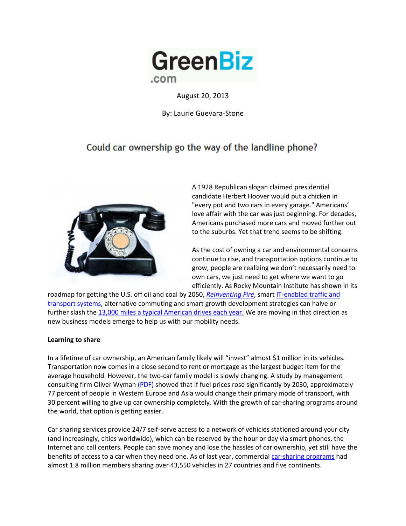

August 20, 2013

By: Laurie Guevara-Stone

## Could car ownership go the way of the landline phone?



A 1928 Republican slogan claimed presidential candidate Herbert Hoover would put a chicken in "every pot and two cars in every garage." Americans' love affair with the car was just beginning. For decades, Americans purchased more cars and moved further out to the suburbs. Yet that trend seems to be shifting.

As the cost of owning a car and environmental concerns continue to rise, and transportation options continue to grow, people are realizing we don't necessarily need to own cars, we just need to get where we want to go efficiently. As Rocky Mountain Institute has shown in its

roadmap for getting the U.S. off oil and coal by 2050, *[Reinventing Fire](http://www.reinventingfire.com/)*, smar[t IT-enabled traffic and](http://www.greenbiz.com/slideshow/2013/08/14/10-tools-tapping-cars-smarter-driving)  [transport systems,](http://www.greenbiz.com/slideshow/2013/08/14/10-tools-tapping-cars-smarter-driving) alternative commuting and smart growth development strategies can halve or further slash the [13,000 miles a typical American drives each year.](http://www.rmi.org/RFGraph-US_vehicle_miles_traveled) We are moving in that direction as new business models emerge to help us with our mobility needs.

## **Learning to share**

In a lifetime of car ownership, an American family likely will "invest" almost \$1 million in its vehicles. Transportation now comes in a close second to rent or mortgage as the largest budget item for the average household. However, the two-car family model is slowly changing. A study by management consulting firm Oliver Wyma[n \(PDF\)](http://www.oliverwyman.com/media/OW_EN_MTE_PRESS_2012_Changing_Mobility.pdf) showed that if fuel prices rose significantly by 2030, approximately 77 percent of people in Western Europe and Asia would change their primary mode of transport, with 30 percent willing to give up car ownership completely. With the growth of car-sharing programs around the world, that option is getting easier.

Car sharing services provide 24/7 self-serve access to a network of vehicles stationed around your city (and increasingly, cities worldwide), which can be reserved by the hour or day via smart phones, the Internet and call centers. People can save money and lose the hassles of car ownership, yet still have the benefits of access to a car when they need one. As of last year, commercial [car-sharing programs](http://www.innovativemobility.org/carsharing/index.shtml) had almost 1.8 million members sharing over 43,550 vehicles in 27 countries and five continents.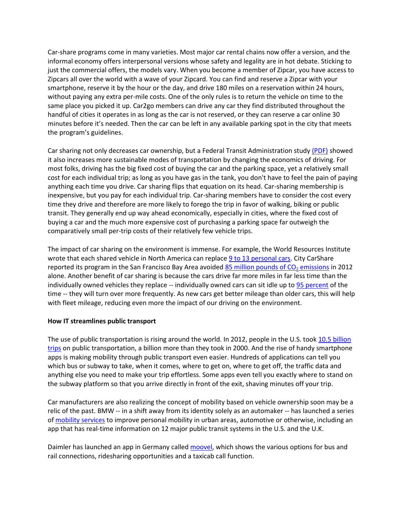Car-share programs come in many varieties. Most major car rental chains now offer a version, and the informal economy offers interpersonal versions whose safety and legality are in hot debate. Sticking to just the commercial offers, the models vary. When you become a member of Zipcar, you have access to Zipcars all over the world with a wave of your Zipcard. You can find and reserve a Zipcar with your smartphone, reserve it by the hour or the day, and drive 180 miles on a reservation within 24 hours, without paying any extra per-mile costs. One of the only rules is to return the vehicle on time to the same place you picked it up. Car2go members can drive any car they find distributed throughout the handful of cities it operates in as long as the car is not reserved, or they can reserve a car online 30 minutes before it's needed. Then the car can be left in any available parking spot in the city that meets the program's guidelines.

Car sharing not only decreases car ownership, but a Federal Transit Administration stud[y \(PDF\)](http://onlinepubs.trb.org/onlinepubs/tcrp/tcrp_rpt_108.pdf) showed it also increases more sustainable modes of transportation by changing the economics of driving. For most folks, driving has the big fixed cost of buying the car and the parking space, yet a relatively small cost for each individual trip; as long as you have gas in the tank, you don't have to feel the pain of paying anything each time you drive. Car sharing flips that equation on its head. Car-sharing membership is inexpensive, but you pay for each individual trip. Car-sharing members have to consider the cost every time they drive and therefore are more likely to forego the trip in favor of walking, biking or public transit. They generally end up way ahead economically, especially in cities, where the fixed cost of buying a car and the much more expensive cost of purchasing a parking space far outweigh the comparatively small per-trip costs of their relatively few vehicle trips.

The impact of car sharing on the environment is immense. For example, the World Resources Institute wrote that each shared vehicle in North America can replace [9 to 13 personal cars.](http://insights.wri.org/news/2013/01/zipcars-purchase-avis-car-sharing-success-or-failure) City CarShare reported its program in the San Francisco Bay Area avoided 85 million pounds of  $CO<sub>2</sub>$  emissions in 2012 alone. Another benefit of car sharing is because the cars drive far more miles in far less time than the individually owned vehicles they replace -- individually owned cars can sit idle up to [95 percent](http://insights.wri.org/news/2013/01/zipcars-purchase-avis-car-sharing-success-or-failure) of the time -- they will turn over more frequently. As new cars get better mileage than older cars, this will help with fleet mileage, reducing even more the impact of our driving on the environment.

## **How IT streamlines public transport**

The use of public transportation is rising around the world. In 2012, people in the U.S. took 10.5 billion [trips](http://www.apta.com/mediacenter/pressreleases/2013/Pages/130311_Ridership.aspx) on public transportation, a billion more than they took in 2000. And the rise of handy smartphone apps is making mobility through public transport even easier. Hundreds of applications can tell you which bus or subway to take, when it comes, where to get on, where to get off, the traffic data and anything else you need to make your trip effortless. Some apps even tell you exactly where to stand on the subway platform so that you arrive directly in front of the exit, shaving minutes off your trip.

Car manufacturers are also realizing the concept of mobility based on vehicle ownership soon may be a relic of the past. BMW -- in a shift away from its identity solely as an automaker -- has launched a series of [mobility services](http://www.bmw-i.com/en_ww/mobility-services/) to improve personal mobility in urban areas, automotive or otherwise, including an app that has real-time information on 12 major public transit systems in the U.S. and the U.K.

Daimler has launched an app in Germany called [moovel,](https://www.moovel.com/en/) which shows the various options for bus and rail connections, ridesharing opportunities and a taxicab call function.